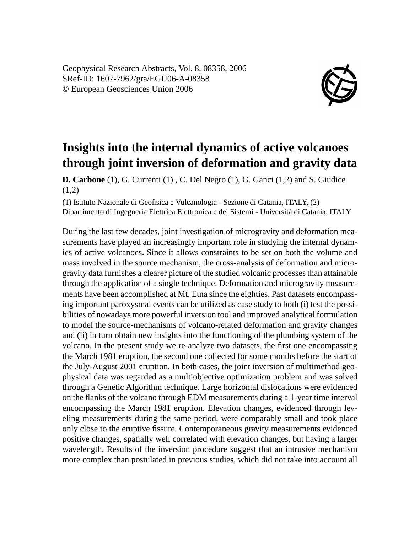Geophysical Research Abstracts, Vol. 8, 08358, 2006 SRef-ID: 1607-7962/gra/EGU06-A-08358 © European Geosciences Union 2006



## **Insights into the internal dynamics of active volcanoes through joint inversion of deformation and gravity data**

**D. Carbone** (1), G. Currenti (1) , C. Del Negro (1), G. Ganci (1,2) and S. Giudice (1,2)

(1) Istituto Nazionale di Geofisica e Vulcanologia - Sezione di Catania, ITALY, (2) Dipartimento di Ingegneria Elettrica Elettronica e dei Sistemi - Università di Catania, ITALY

During the last few decades, joint investigation of microgravity and deformation measurements have played an increasingly important role in studying the internal dynamics of active volcanoes. Since it allows constraints to be set on both the volume and mass involved in the source mechanism, the cross-analysis of deformation and microgravity data furnishes a clearer picture of the studied volcanic processes than attainable through the application of a single technique. Deformation and microgravity measurements have been accomplished at Mt. Etna since the eighties. Past datasets encompassing important paroxysmal events can be utilized as case study to both (i) test the possibilities of nowadays more powerful inversion tool and improved analytical formulation to model the source-mechanisms of volcano-related deformation and gravity changes and (ii) in turn obtain new insights into the functioning of the plumbing system of the volcano. In the present study we re-analyze two datasets, the first one encompassing the March 1981 eruption, the second one collected for some months before the start of the July-August 2001 eruption. In both cases, the joint inversion of multimethod geophysical data was regarded as a multiobjective optimization problem and was solved through a Genetic Algorithm technique. Large horizontal dislocations were evidenced on the flanks of the volcano through EDM measurements during a 1-year time interval encompassing the March 1981 eruption. Elevation changes, evidenced through leveling measurements during the same period, were comparably small and took place only close to the eruptive fissure. Contemporaneous gravity measurements evidenced positive changes, spatially well correlated with elevation changes, but having a larger wavelength. Results of the inversion procedure suggest that an intrusive mechanism more complex than postulated in previous studies, which did not take into account all